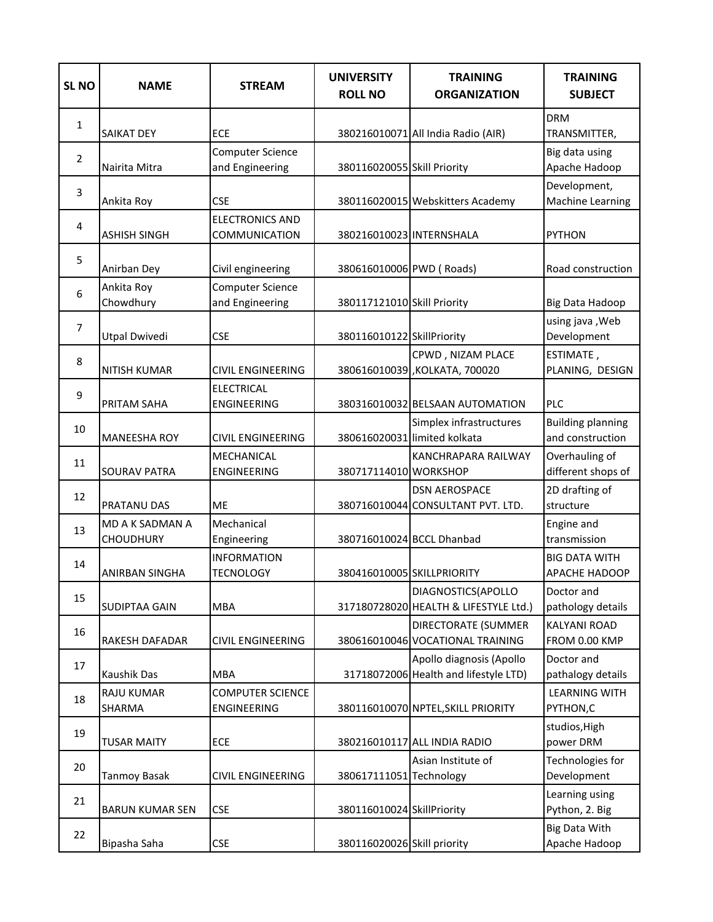| <b>SL NO</b>   | <b>NAME</b>                                | <b>STREAM</b>                                  | <b>UNIVERSITY</b><br><b>ROLL NO</b> | <b>TRAINING</b><br><b>ORGANIZATION</b>                            | <b>TRAINING</b><br><b>SUBJECT</b>            |
|----------------|--------------------------------------------|------------------------------------------------|-------------------------------------|-------------------------------------------------------------------|----------------------------------------------|
| 1              | <b>SAIKAT DEY</b>                          | <b>ECE</b>                                     |                                     | 380216010071 All India Radio (AIR)                                | <b>DRM</b><br>TRANSMITTER,                   |
| $\overline{2}$ | Nairita Mitra                              | <b>Computer Science</b><br>and Engineering     | 380116020055 Skill Priority         |                                                                   | Big data using<br>Apache Hadoop              |
| 3              | Ankita Roy                                 | <b>CSE</b>                                     |                                     | 380116020015 Webskitters Academy                                  | Development,<br>Machine Learning             |
| $\overline{4}$ | <b>ASHISH SINGH</b>                        | <b>ELECTRONICS AND</b><br><b>COMMUNICATION</b> | 380216010023 INTERNSHALA            |                                                                   | <b>PYTHON</b>                                |
| 5              | Anirban Dey                                | Civil engineering                              | 380616010006 PWD (Roads)            |                                                                   | Road construction                            |
| 6              | Ankita Roy<br>Chowdhury                    | <b>Computer Science</b><br>and Engineering     | 380117121010 Skill Priority         |                                                                   | Big Data Hadoop                              |
| $\overline{7}$ | <b>Utpal Dwivedi</b>                       | <b>CSE</b>                                     | 380116010122 SkillPriority          |                                                                   | using java , Web<br>Development              |
| 8              | <b>NITISH KUMAR</b>                        | <b>CIVIL ENGINEERING</b>                       |                                     | CPWD, NIZAM PLACE<br>380616010039, KOLKATA, 700020                | ESTIMATE,<br>PLANING, DESIGN                 |
| 9              | PRITAM SAHA                                | <b>ELECTRICAL</b><br>ENGINEERING               |                                     | 380316010032 BELSAAN AUTOMATION                                   | PLC                                          |
| 10             | <b>MANEESHA ROY</b>                        | <b>CIVIL ENGINEERING</b>                       |                                     | Simplex infrastructures<br>380616020031 limited kolkata           | <b>Building planning</b><br>and construction |
| 11             | <b>SOURAV PATRA</b>                        | MECHANICAL<br>ENGINEERING                      | 380717114010 WORKSHOP               | KANCHRAPARA RAILWAY                                               | Overhauling of<br>different shops of         |
| 12             | PRATANU DAS                                | <b>ME</b>                                      |                                     | <b>DSN AEROSPACE</b><br>380716010044 CONSULTANT PVT. LTD.         | 2D drafting of<br>structure                  |
| 13             | <b>MD A K SADMAN A</b><br><b>CHOUDHURY</b> | Mechanical<br>Engineering                      | 380716010024 BCCL Dhanbad           |                                                                   | Engine and<br>transmission                   |
| 14             | <b>ANIRBAN SINGHA</b>                      | <b>INFORMATION</b><br><b>TECNOLOGY</b>         | 380416010005 SKILLPRIORITY          |                                                                   | <b>BIG DATA WITH</b><br>APACHE HADOOP        |
| 15             | <b>SUDIPTAA GAIN</b>                       | <b>MBA</b>                                     |                                     | DIAGNOSTICS(APOLLO<br>317180728020 HEALTH & LIFESTYLE Ltd.)       | Doctor and<br>pathology details              |
| 16             | <b>RAKESH DAFADAR</b>                      | <b>CIVIL ENGINEERING</b>                       |                                     | <b>DIRECTORATE (SUMMER</b><br>380616010046 VOCATIONAL TRAINING    | <b>KALYANI ROAD</b><br>FROM 0.00 KMP         |
| 17             | Kaushik Das                                | <b>MBA</b>                                     |                                     | Apollo diagnosis (Apollo<br>31718072006 Health and lifestyle LTD) | Doctor and<br>pathalogy details              |
| 18             | <b>RAJU KUMAR</b><br><b>SHARMA</b>         | <b>COMPUTER SCIENCE</b><br>ENGINEERING         |                                     | 380116010070 NPTEL, SKILL PRIORITY                                | <b>LEARNING WITH</b><br>PYTHON,C             |
| 19             | <b>TUSAR MAITY</b>                         | ECE                                            |                                     | 380216010117 ALL INDIA RADIO                                      | studios, High<br>power DRM                   |
| 20             | Tanmoy Basak                               | <b>CIVIL ENGINEERING</b>                       | 380617111051 Technology             | Asian Institute of                                                | Technologies for<br>Development              |
| 21             | <b>BARUN KUMAR SEN</b>                     | <b>CSE</b>                                     | 380116010024 SkillPriority          |                                                                   | Learning using<br>Python, 2. Big             |
| 22             | Bipasha Saha                               | <b>CSE</b>                                     | 380116020026 Skill priority         |                                                                   | Big Data With<br>Apache Hadoop               |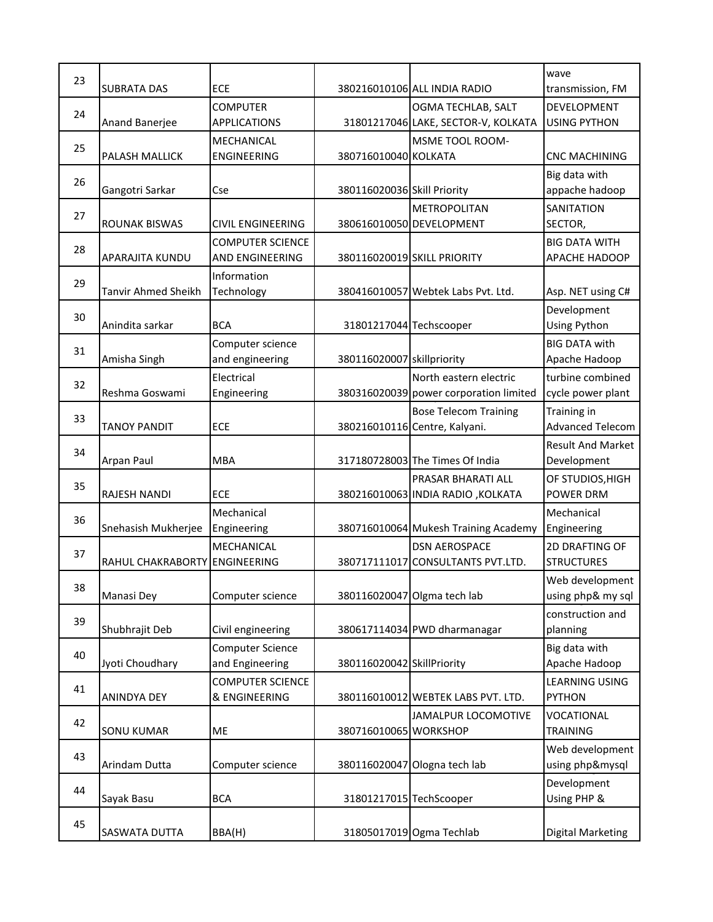| 23 |                               |                                            |                             |                                        | wave                                         |
|----|-------------------------------|--------------------------------------------|-----------------------------|----------------------------------------|----------------------------------------------|
|    | <b>SUBRATA DAS</b>            | <b>ECE</b>                                 |                             | 380216010106 ALL INDIA RADIO           | transmission, FM                             |
|    |                               | <b>COMPUTER</b>                            |                             | OGMA TECHLAB, SALT                     | DEVELOPMENT                                  |
| 24 | Anand Banerjee                | <b>APPLICATIONS</b>                        |                             | 31801217046 LAKE, SECTOR-V, KOLKATA    | <b>USING PYTHON</b>                          |
|    |                               | <b>MECHANICAL</b>                          |                             | <b>MSME TOOL ROOM-</b>                 |                                              |
| 25 | PALASH MALLICK                | ENGINEERING                                | 380716010040 KOLKATA        |                                        | <b>CNC MACHINING</b>                         |
|    |                               |                                            |                             |                                        | Big data with                                |
| 26 | Gangotri Sarkar               | Cse                                        | 380116020036 Skill Priority |                                        | appache hadoop                               |
|    |                               |                                            |                             | <b>METROPOLITAN</b>                    | <b>SANITATION</b>                            |
| 27 | <b>ROUNAK BISWAS</b>          | <b>CIVIL ENGINEERING</b>                   |                             | 380616010050 DEVELOPMENT               | SECTOR,                                      |
|    |                               |                                            |                             |                                        |                                              |
| 28 | APARAJITA KUNDU               | <b>COMPUTER SCIENCE</b><br>AND ENGINEERING |                             | 380116020019 SKILL PRIORITY            | <b>BIG DATA WITH</b><br><b>APACHE HADOOP</b> |
|    |                               |                                            |                             |                                        |                                              |
| 29 |                               | Information                                |                             |                                        |                                              |
|    | <b>Tanvir Ahmed Sheikh</b>    | Technology                                 |                             | 380416010057 Webtek Labs Pvt. Ltd.     | Asp. NET using C#                            |
| 30 |                               |                                            |                             |                                        | Development                                  |
|    | Anindita sarkar               | <b>BCA</b>                                 | 31801217044 Techscooper     |                                        | Using Python                                 |
| 31 |                               | Computer science                           |                             |                                        | <b>BIG DATA with</b>                         |
|    | Amisha Singh                  | and engineering                            | 380116020007 skillpriority  |                                        | Apache Hadoop                                |
| 32 |                               | Electrical                                 |                             | North eastern electric                 | turbine combined                             |
|    | Reshma Goswami                | Engineering                                |                             | 380316020039 power corporation limited | cycle power plant                            |
| 33 |                               |                                            |                             | <b>Bose Telecom Training</b>           | Training in                                  |
|    | <b>TANOY PANDIT</b>           | <b>ECE</b>                                 |                             | 380216010116 Centre, Kalyani.          | <b>Advanced Telecom</b>                      |
| 34 |                               |                                            |                             |                                        | <b>Result And Market</b>                     |
|    | Arpan Paul                    | <b>MBA</b>                                 |                             | 317180728003 The Times Of India        | Development                                  |
| 35 |                               |                                            |                             | PRASAR BHARATI ALL                     | OF STUDIOS, HIGH                             |
|    | <b>RAJESH NANDI</b>           | <b>ECE</b>                                 |                             | 380216010063 INDIA RADIO, KOLKATA      | <b>POWER DRM</b>                             |
|    |                               | Mechanical                                 |                             |                                        | Mechanical                                   |
| 36 | Snehasish Mukherjee           | Engineering                                |                             | 380716010064 Mukesh Training Academy   | Engineering                                  |
|    |                               | <b>MECHANICAL</b>                          |                             | <b>DSN AEROSPACE</b>                   | <b>2D DRAFTING OF</b>                        |
| 37 | RAHUL CHAKRABORTY ENGINEERING |                                            |                             | 380717111017 CONSULTANTS PVT.LTD.      | <b>STRUCTURES</b>                            |
|    |                               |                                            |                             |                                        | Web development                              |
| 38 | Manasi Dey                    | Computer science                           |                             | 380116020047 Olgma tech lab            | using php& my sql                            |
|    |                               |                                            |                             |                                        | construction and                             |
| 39 | Shubhrajit Deb                | Civil engineering                          |                             | 380617114034 PWD dharmanagar           | planning                                     |
|    |                               |                                            |                             |                                        |                                              |
| 40 |                               | <b>Computer Science</b><br>and Engineering | 380116020042 SkillPriority  |                                        | Big data with                                |
|    | Jyoti Choudhary               |                                            |                             |                                        | Apache Hadoop                                |
| 41 |                               | <b>COMPUTER SCIENCE</b>                    |                             |                                        | <b>LEARNING USING</b>                        |
|    | ANINDYA DEY                   | & ENGINEERING                              |                             | 380116010012 WEBTEK LABS PVT. LTD.     | <b>PYTHON</b>                                |
| 42 |                               |                                            |                             | <b>JAMALPUR LOCOMOTIVE</b>             | VOCATIONAL                                   |
|    | <b>SONU KUMAR</b>             | ME                                         | 380716010065 WORKSHOP       |                                        | <b>TRAINING</b>                              |
| 43 |                               |                                            |                             |                                        | Web development                              |
|    | Arindam Dutta                 | Computer science                           |                             | 380116020047 Ologna tech lab           | using php&mysql                              |
| 44 |                               |                                            |                             |                                        | Development                                  |
|    | Sayak Basu                    | <b>BCA</b>                                 | 31801217015 TechScooper     |                                        | Using PHP &                                  |
| 45 |                               |                                            |                             |                                        |                                              |
|    | SASWATA DUTTA                 | BBA(H)                                     |                             | 31805017019 Ogma Techlab               | <b>Digital Marketing</b>                     |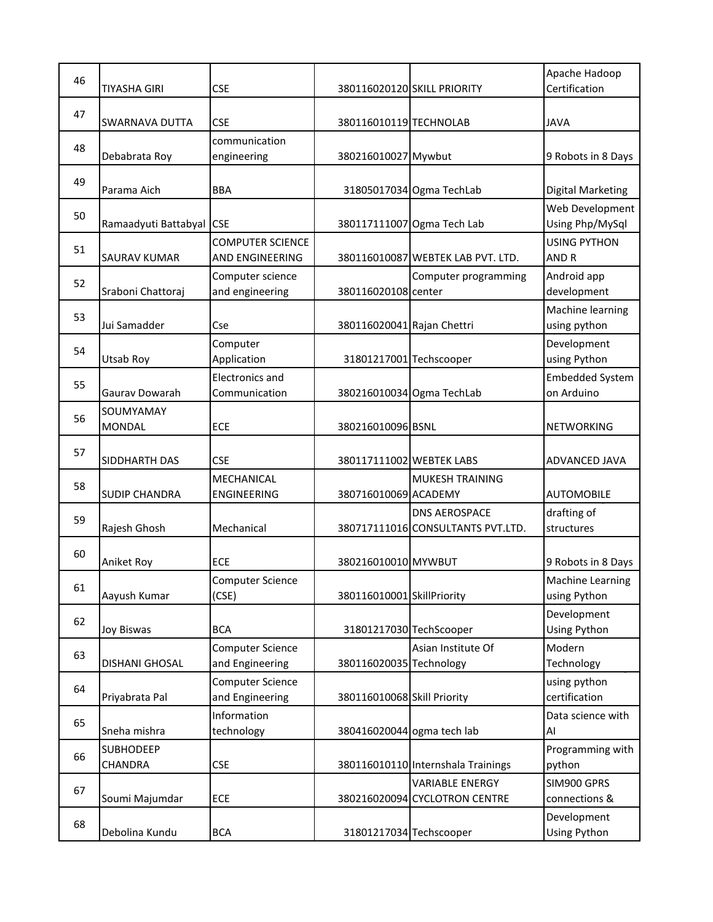| 46 |                      |                         |                             |                                    | Apache Hadoop            |
|----|----------------------|-------------------------|-----------------------------|------------------------------------|--------------------------|
|    | <b>TIYASHA GIRI</b>  | <b>CSE</b>              |                             | 380116020120 SKILL PRIORITY        | Certification            |
|    |                      |                         |                             |                                    |                          |
| 47 | SWARNAVA DUTTA       | <b>CSE</b>              | 380116010119 TECHNOLAB      |                                    | <b>JAVA</b>              |
|    |                      | communication           |                             |                                    |                          |
| 48 | Debabrata Roy        | engineering             | 380216010027 Mywbut         |                                    | 9 Robots in 8 Days       |
|    |                      |                         |                             |                                    |                          |
| 49 | Parama Aich          | <b>BBA</b>              |                             | 31805017034 Ogma TechLab           | <b>Digital Marketing</b> |
|    |                      |                         |                             |                                    |                          |
| 50 |                      |                         |                             |                                    | Web Development          |
|    | Ramaadyuti Battabyal | <b>CSE</b>              |                             | 380117111007 Ogma Tech Lab         | Using Php/MySql          |
| 51 |                      | <b>COMPUTER SCIENCE</b> |                             |                                    | <b>USING PYTHON</b>      |
|    | <b>SAURAV KUMAR</b>  | AND ENGINEERING         |                             | 380116010087 WEBTEK LAB PVT. LTD.  | AND R                    |
| 52 |                      | Computer science        |                             | Computer programming               | Android app              |
|    | Sraboni Chattoraj    | and engineering         | 380116020108 center         |                                    | development              |
|    |                      |                         |                             |                                    | Machine learning         |
| 53 | Jui Samadder         | Cse                     | 380116020041 Rajan Chettri  |                                    | using python             |
|    |                      | Computer                |                             |                                    | Development              |
| 54 | Utsab Roy            | Application             | 31801217001 Techscooper     |                                    | using Python             |
|    |                      | <b>Electronics and</b>  |                             |                                    | <b>Embedded System</b>   |
| 55 | Gauray Dowarah       | Communication           |                             | 380216010034 Ogma TechLab          | on Arduino               |
|    |                      |                         |                             |                                    |                          |
| 56 | SOUMYAMAY            |                         |                             |                                    |                          |
|    | <b>MONDAL</b>        | ECE                     | 380216010096 BSNL           |                                    | <b>NETWORKING</b>        |
| 57 |                      |                         |                             |                                    |                          |
|    | SIDDHARTH DAS        | <b>CSE</b>              | 380117111002 WEBTEK LABS    |                                    | ADVANCED JAVA            |
| 58 |                      | <b>MECHANICAL</b>       |                             | <b>MUKESH TRAINING</b>             |                          |
|    | <b>SUDIP CHANDRA</b> | <b>ENGINEERING</b>      | 380716010069 ACADEMY        |                                    | <b>AUTOMOBILE</b>        |
| 59 |                      |                         |                             | <b>DNS AEROSPACE</b>               | drafting of              |
|    | Rajesh Ghosh         | Mechanical              |                             | 380717111016 CONSULTANTS PVT.LTD.  | structures               |
|    |                      |                         |                             |                                    |                          |
| 60 | Aniket Roy           | <b>ECE</b>              | 380216010010 MYWBUT         |                                    | 9 Robots in 8 Days       |
|    |                      | <b>Computer Science</b> |                             |                                    | Machine Learning         |
| 61 | Aayush Kumar         | (CSE)                   | 380116010001 SkillPriority  |                                    | using Python             |
|    |                      |                         |                             |                                    | Development              |
| 62 | <b>Joy Biswas</b>    | <b>BCA</b>              | 31801217030 TechScooper     |                                    | Using Python             |
|    |                      |                         |                             |                                    |                          |
| 63 |                      | <b>Computer Science</b> |                             | Asian Institute Of                 | Modern                   |
|    | DISHANI GHOSAL       | and Engineering         | 380116020035 Technology     |                                    | Technology               |
| 64 |                      | <b>Computer Science</b> |                             |                                    | using python             |
|    | Priyabrata Pal       | and Engineering         | 380116010068 Skill Priority |                                    | certification            |
| 65 |                      | Information             |                             |                                    | Data science with        |
|    | Sneha mishra         | technology              | 380416020044 ogma tech lab  |                                    | Al                       |
| 66 | <b>SUBHODEEP</b>     |                         |                             |                                    | Programming with         |
|    | CHANDRA              | <b>CSE</b>              |                             | 380116010110 Internshala Trainings | python                   |
|    |                      |                         |                             | <b>VARIABLE ENERGY</b>             | SIM900 GPRS              |
| 67 | Soumi Majumdar       | ECE                     |                             | 380216020094 CYCLOTRON CENTRE      | connections &            |
|    |                      |                         |                             |                                    | Development              |
| 68 | Debolina Kundu       | <b>BCA</b>              | 31801217034 Techscooper     |                                    | Using Python             |
|    |                      |                         |                             |                                    |                          |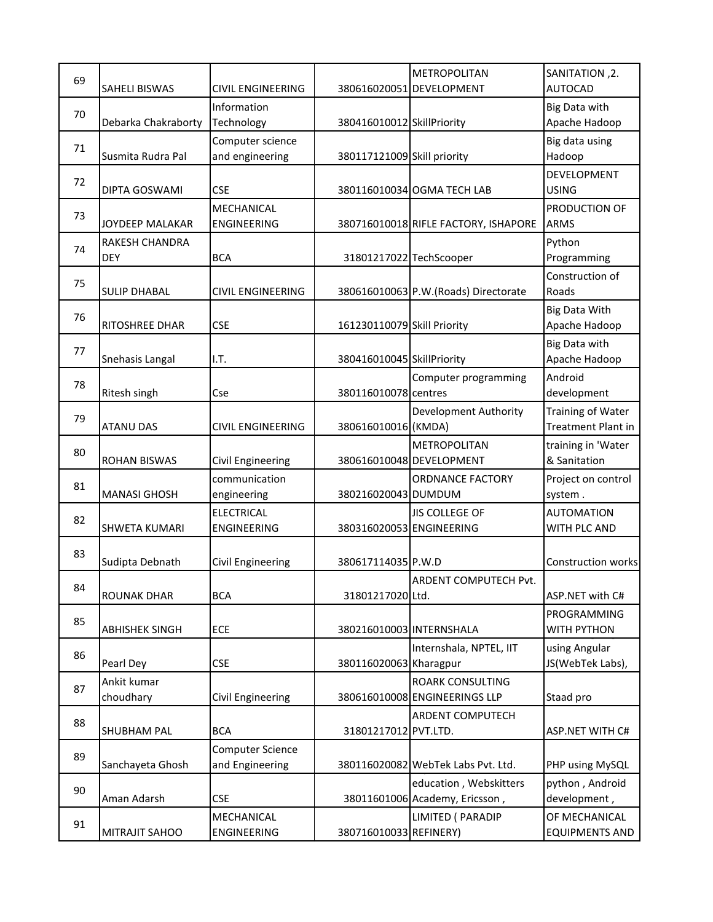| 69 |                       |                          |                             | <b>METROPOLITAN</b>                   | SANITATION, 2.                    |
|----|-----------------------|--------------------------|-----------------------------|---------------------------------------|-----------------------------------|
|    | <b>SAHELI BISWAS</b>  | <b>CIVIL ENGINEERING</b> |                             | 380616020051 DEVELOPMENT              | <b>AUTOCAD</b>                    |
|    |                       | Information              |                             |                                       | Big Data with                     |
| 70 | Debarka Chakraborty   | Technology               | 380416010012 SkillPriority  |                                       | Apache Hadoop                     |
|    |                       | Computer science         |                             |                                       | Big data using                    |
| 71 | Susmita Rudra Pal     | and engineering          | 380117121009 Skill priority |                                       | Hadoop                            |
|    |                       |                          |                             |                                       | DEVELOPMENT                       |
| 72 | DIPTA GOSWAMI         | <b>CSE</b>               |                             | 380116010034 OGMA TECH LAB            | <b>USING</b>                      |
|    |                       |                          |                             |                                       |                                   |
| 73 |                       | MECHANICAL               |                             |                                       | PRODUCTION OF                     |
|    | JOYDEEP MALAKAR       | ENGINEERING              |                             | 380716010018 RIFLE FACTORY, ISHAPORE  | <b>ARMS</b>                       |
| 74 | RAKESH CHANDRA        |                          |                             |                                       | Python                            |
|    | <b>DEY</b>            | <b>BCA</b>               | 31801217022 TechScooper     |                                       | Programming                       |
| 75 |                       |                          |                             |                                       | Construction of                   |
|    | <b>SULIP DHABAL</b>   | <b>CIVIL ENGINEERING</b> |                             | 380616010063 P.W. (Roads) Directorate | Roads                             |
| 76 |                       |                          |                             |                                       | <b>Big Data With</b>              |
|    | RITOSHREE DHAR        | <b>CSE</b>               | 161230110079 Skill Priority |                                       | Apache Hadoop                     |
|    |                       |                          |                             |                                       | Big Data with                     |
| 77 | Snehasis Langal       | I.T.                     | 380416010045 SkillPriority  |                                       | Apache Hadoop                     |
|    |                       |                          |                             | Computer programming                  | Android                           |
| 78 | Ritesh singh          | Cse                      | 380116010078 centres        |                                       | development                       |
| 79 |                       |                          |                             | <b>Development Authority</b>          | Training of Water                 |
|    | <b>ATANU DAS</b>      | <b>CIVIL ENGINEERING</b> | 380616010016 (KMDA)         |                                       | <b>Treatment Plant in</b>         |
|    |                       |                          |                             |                                       |                                   |
| 80 |                       |                          |                             | <b>METROPOLITAN</b>                   | training in 'Water                |
|    | <b>ROHAN BISWAS</b>   | Civil Engineering        |                             | 380616010048 DEVELOPMENT              | & Sanitation                      |
| 81 |                       | communication            |                             | <b>ORDNANCE FACTORY</b>               | Project on control                |
|    | <b>MANASI GHOSH</b>   | engineering              | 380216020043 DUMDUM         |                                       | system.                           |
| 82 |                       | <b>ELECTRICAL</b>        |                             | <b>JIS COLLEGE OF</b>                 | <b>AUTOMATION</b>                 |
|    | <b>SHWETA KUMARI</b>  | <b>ENGINEERING</b>       | 380316020053 ENGINEERING    |                                       | WITH PLC AND                      |
| 83 |                       |                          |                             |                                       |                                   |
|    | Sudipta Debnath       | Civil Engineering        | 380617114035 P.W.D          |                                       | Construction works                |
|    |                       |                          |                             | ARDENT COMPUTECH Pvt.                 |                                   |
| 84 | <b>ROUNAK DHAR</b>    | <b>BCA</b>               | 31801217020 Ltd.            |                                       | ASP.NET with C#                   |
|    |                       |                          |                             |                                       | PROGRAMMING                       |
| 85 | <b>ABHISHEK SINGH</b> | ECE                      | 380216010003 INTERNSHALA    |                                       | WITH PYTHON                       |
|    |                       |                          |                             |                                       |                                   |
| 86 | Pearl Dey             | <b>CSE</b>               | 380116020063 Kharagpur      | Internshala, NPTEL, IIT               | using Angular<br>JS(WebTek Labs), |
|    |                       |                          |                             |                                       |                                   |
| 87 | Ankit kumar           |                          |                             | ROARK CONSULTING                      |                                   |
|    | choudhary             | Civil Engineering        |                             | 380616010008 ENGINEERINGS LLP         | Staad pro                         |
| 88 |                       |                          |                             | <b>ARDENT COMPUTECH</b>               |                                   |
|    | <b>SHUBHAM PAL</b>    | <b>BCA</b>               | 31801217012 PVT.LTD.        |                                       | <b>ASP.NET WITH C#</b>            |
| 89 |                       | <b>Computer Science</b>  |                             |                                       |                                   |
|    | Sanchayeta Ghosh      | and Engineering          |                             | 380116020082 WebTek Labs Pvt. Ltd.    | PHP using MySQL                   |
| 90 |                       |                          |                             | education, Webskitters                | python, Android                   |
|    | Aman Adarsh           | <b>CSE</b>               |                             | 38011601006 Academy, Ericsson,        | development,                      |
|    |                       | MECHANICAL               |                             | LIMITED ( PARADIP                     | OF MECHANICAL                     |
| 91 | MITRAJIT SAHOO        | ENGINEERING              | 380716010033 REFINERY)      |                                       | <b>EQUIPMENTS AND</b>             |
|    |                       |                          |                             |                                       |                                   |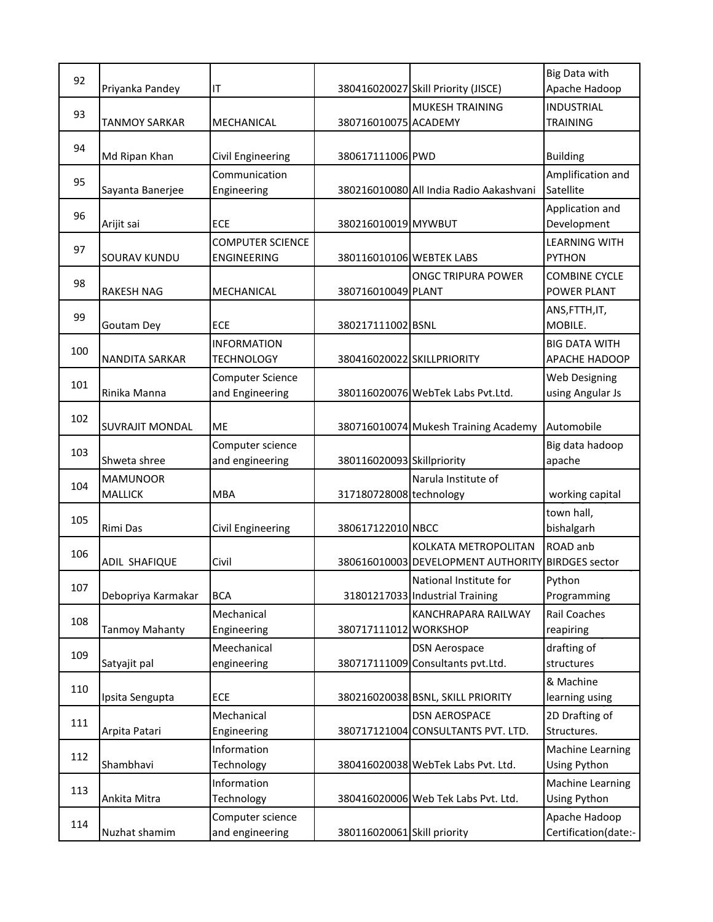| 92  | Priyanka Pandey        | IT                                         |                             | 380416020027 Skill Priority (JISCE)                        | Big Data with<br>Apache Hadoop               |
|-----|------------------------|--------------------------------------------|-----------------------------|------------------------------------------------------------|----------------------------------------------|
| 93  |                        |                                            |                             | <b>MUKESH TRAINING</b>                                     | <b>INDUSTRIAL</b>                            |
|     | <b>TANMOY SARKAR</b>   | MECHANICAL                                 | 380716010075 ACADEMY        |                                                            | <b>TRAINING</b>                              |
| 94  | Md Ripan Khan          | Civil Engineering                          | 380617111006 PWD            |                                                            | <b>Building</b>                              |
| 95  | Sayanta Banerjee       | Communication<br>Engineering               |                             | 380216010080 All India Radio Aakashvani                    | Amplification and<br>Satellite               |
| 96  | Arijit sai             | <b>ECE</b>                                 | 380216010019 MYWBUT         |                                                            | Application and<br>Development               |
| 97  | SOURAV KUNDU           | <b>COMPUTER SCIENCE</b><br>ENGINEERING     | 380116010106 WEBTEK LABS    |                                                            | <b>LEARNING WITH</b><br><b>PYTHON</b>        |
| 98  | <b>RAKESH NAG</b>      | MECHANICAL                                 | 380716010049 PLANT          | <b>ONGC TRIPURA POWER</b>                                  | <b>COMBINE CYCLE</b><br><b>POWER PLANT</b>   |
| 99  | Goutam Dey             | ECE                                        | 380217111002 BSNL           |                                                            | ANS, FTTH, IT,<br>MOBILE.                    |
| 100 | NANDITA SARKAR         | <b>INFORMATION</b><br><b>TECHNOLOGY</b>    | 380416020022 SKILLPRIORITY  |                                                            | <b>BIG DATA WITH</b><br><b>APACHE HADOOP</b> |
| 101 | Rinika Manna           | <b>Computer Science</b><br>and Engineering |                             | 380116020076 WebTek Labs Pvt.Ltd.                          | Web Designing<br>using Angular Js            |
| 102 | <b>SUVRAJIT MONDAL</b> | <b>ME</b>                                  |                             | 380716010074 Mukesh Training Academy                       | Automobile                                   |
| 103 | Shweta shree           | Computer science<br>and engineering        | 380116020093 Skillpriority  |                                                            | Big data hadoop<br>apache                    |
|     | <b>MAMUNOOR</b>        |                                            |                             | Narula Institute of                                        |                                              |
| 104 | <b>MALLICK</b>         | <b>MBA</b>                                 | 317180728008 technology     |                                                            | working capital                              |
| 105 | Rimi Das               | Civil Engineering                          | 380617122010 NBCC           |                                                            | town hall,<br>bishalgarh                     |
| 106 | ADIL SHAFIQUE          | Civil                                      |                             | KOLKATA METROPOLITAN<br>380616010003 DEVELOPMENT AUTHORITY | ROAD anb<br><b>BIRDGES</b> sector            |
| 107 | Debopriya Karmakar     | <b>BCA</b>                                 |                             | National Institute for<br>31801217033 Industrial Training  | Python<br>Programming                        |
| 108 | <b>Tanmoy Mahanty</b>  | Mechanical<br>Engineering                  | 380717111012 WORKSHOP       | <b>KANCHRAPARA RAILWAY</b>                                 | Rail Coaches<br>reapiring                    |
| 109 | Satyajit pal           | Meechanical<br>engineering                 |                             | <b>DSN Aerospace</b><br>380717111009 Consultants pvt. Ltd. | drafting of<br>structures                    |
| 110 | Ipsita Sengupta        | ECE                                        |                             | 380216020038 BSNL, SKILL PRIORITY                          | & Machine<br>learning using                  |
| 111 | Arpita Patari          | Mechanical<br>Engineering                  |                             | <b>DSN AEROSPACE</b><br>380717121004 CONSULTANTS PVT. LTD. | 2D Drafting of<br>Structures.                |
| 112 | Shambhavi              | Information<br>Technology                  |                             | 380416020038 WebTek Labs Pvt. Ltd.                         | <b>Machine Learning</b><br>Using Python      |
| 113 | Ankita Mitra           | Information<br>Technology                  |                             | 380416020006 Web Tek Labs Pvt. Ltd.                        | Machine Learning<br>Using Python             |
| 114 | Nuzhat shamim          | Computer science<br>and engineering        | 380116020061 Skill priority |                                                            | Apache Hadoop<br>Certification(date:-        |